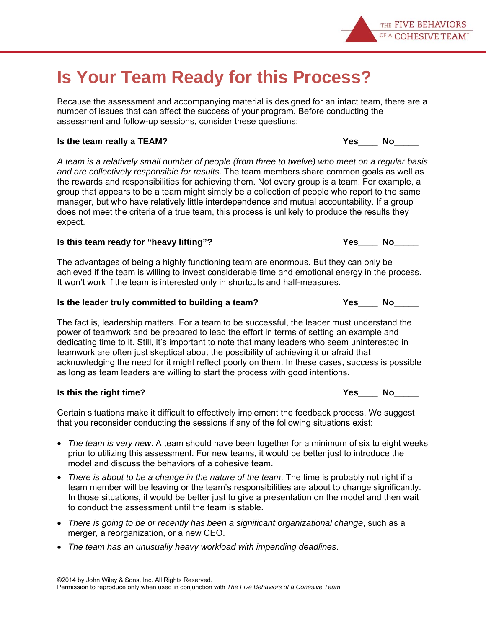# **Is Your Team Ready for this Process?**

Because the assessment and accompanying material is designed for an intact team, there are a number of issues that can affect the success of your program. Before conducting the assessment and follow-up sessions, consider these questions:

#### **Is the team really a TEAM?** And the set of the set of the set of the set of the set of the set of the set of the set of the set of the set of the set of the set of the set of the set of the set of the set of the set of th

*A team is a relatively small number of people (from three to twelve) who meet on a regular basis and are collectively responsible for results.* The team members share common goals as well as the rewards and responsibilities for achieving them. Not every group is a team. For example, a group that appears to be a team might simply be a collection of people who report to the same manager, but who have relatively little interdependence and mutual accountability. If a group does not meet the criteria of a true team, this process is unlikely to produce the results they expect.

### Is this team ready for "heavy lifting"? The Manuson of the Yes Allemannian Manuson No

The advantages of being a highly functioning team are enormous. But they can only be achieved if the team is willing to invest considerable time and emotional energy in the process. It won't work if the team is interested only in shortcuts and half-measures.

### **Is the leader truly committed to building a team? Yes\_\_\_\_ No\_\_\_\_\_**

The fact is, leadership matters. For a team to be successful, the leader must understand the power of teamwork and be prepared to lead the effort in terms of setting an example and dedicating time to it. Still, it's important to note that many leaders who seem uninterested in teamwork are often just skeptical about the possibility of achieving it or afraid that acknowledging the need for it might reflect poorly on them. In these cases, success is possible as long as team leaders are willing to start the process with good intentions.

#### **Is this the right time?** The contraction of the contraction of the contraction of the contraction of the contraction of the contraction of the contraction of the contraction of the contraction of the contraction of the co

Certain situations make it difficult to effectively implement the feedback process. We suggest that you reconsider conducting the sessions if any of the following situations exist:

- *The team is very new*. A team should have been together for a minimum of six to eight weeks prior to utilizing this assessment. For new teams, it would be better just to introduce the model and discuss the behaviors of a cohesive team.
- *There is about to be a change in the nature of the team*. The time is probably not right if a team member will be leaving or the team's responsibilities are about to change significantly. In those situations, it would be better just to give a presentation on the model and then wait to conduct the assessment until the team is stable.
- *There is going to be or recently has been a significant organizational change*, such as a merger, a reorganization, or a new CEO.
- *The team has an unusually heavy workload with impending deadlines*.